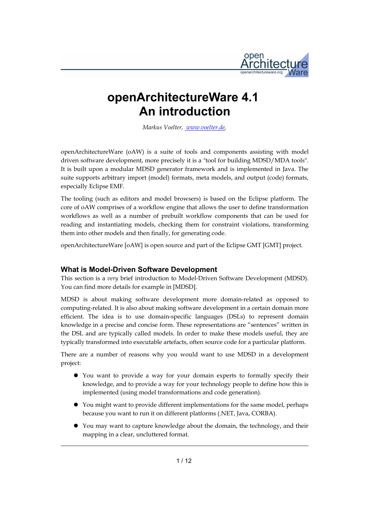

# **openArchitectureWare 4.1 An introduction**

*Markus Voelter, [www.voelter.de,](http://www.efftinge.de/)*

openArchitectureWare (oAW) is a suite of tools and components assisting with model driven software development, more precisely it is a "tool for building MDSD/MDA tools". It is built upon a modular MDSD generator framework and is implemented in Java. The suite supports arbitrary import (model) formats, meta models, and output (code) formats, especially Eclipse EMF.

The tooling (such as editors and model browsers) is based on the Eclipse platform. The core of oAW comprises of a workflow engine that allows the user to define transformation workflows as well as a number of prebuilt workflow components that can be used for reading and instantiating models, checking them for constraint violations, transforming them into other models and then finally, for generating code.

openArchitectureWare [oAW] is open source and part of the Eclipse GMT [GMT] project.

#### **What is Model-Driven Software Development**

This section is a *very* brief introduction to Model-Driven Software Development (MDSD). You can find more details for example in [MDSD].

MDSD is about making software development more domain-related as opposed to computing-related. It is also about making software development in a certain domain more efficient. The idea is to use domain-specific languages (DSLs) to represent domain knowledge in a precise and concise form. These representations are "sentences" written in the DSL and are typically called models. In order to make these models useful, they are typically transformed into executable artefacts, often source code for a particular platform.

There are a number of reasons why you would want to use MDSD in a development project:

- You want to provide a way for your domain experts to formally specify their knowledge, and to provide a way for your technology people to define how this is implemented (using model transformations and code generation).
- You might want to provide different implementations for the same model, perhaps because you want to run it on different platforms (.NET, Java, CORBA).
- You may want to capture knowledge about the domain, the technology, and their mapping in a clear, uncluttered format.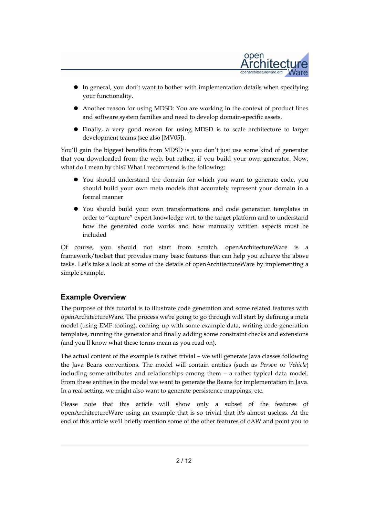

- In general, you don't want to bother with implementation details when specifying your functionality.
- Another reason for using MDSD: You are working in the context of product lines and software system families and need to develop domain-specific assets.
- Finally, a very good reason for using MDSD is to scale architecture to larger development teams (see also [MV05]).

You'll gain the biggest benefits from MDSD is you don't just use some kind of generator that you downloaded from the web, but rather, if you build your own generator. Now, what do I mean by this? What I recommend is the following:

- You should understand the domain for which you want to generate code, you should build your own meta models that accurately represent your domain in a formal manner
- You should build your own transformations and code generation templates in order to "capture" expert knowledge wrt. to the target platform and to understand how the generated code works and how manually written aspects must be included

Of course, you should not start from scratch. openArchitectureWare is a framework/toolset that provides many basic features that can help you achieve the above tasks. Let's take a look at some of the details of openArchitectureWare by implementing a simple example.

# **Example Overview**

The purpose of this tutorial is to illustrate code generation and some related features with openArchitectureWare. The process we're going to go through will start by defining a meta model (using EMF tooling), coming up with some example data, writing code generation templates, running the generator and finally adding some constraint checks and extensions (and you'll know what these terms mean as you read on).

The actual content of the example is rather trivial – we will generate Java classes following the Java Beans conventions. The model will contain entities (such as *Person* or *Vehicle*) including some attributes and relationships among them – a rather typical data model. From these entities in the model we want to generate the Beans for implementation in Java. In a real setting, we might also want to generate persistence mappings, etc.

Please note that this article will show only a subset of the features of openArchitectureWare using an example that is so trivial that it's almost useless. At the end of this article we'll briefly mention some of the other features of oAW and point you to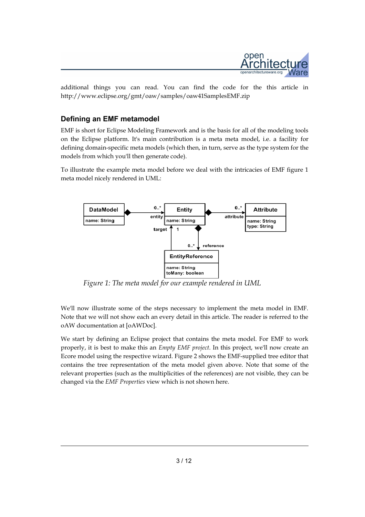

additional things you can read. You can find the code for the this article in http://www.eclipse.org/gmt/oaw/samples/oaw41SamplesEMF.zip

### **Defining an EMF metamodel**

EMF is short for Eclipse Modeling Framework and is the basis for all of the modeling tools on the Eclipse platform. It's main contribution is a meta meta model, i.e. a facility for defining domain-specific meta models (which then, in turn, serve as the type system for the models from which you'll then generate code).

To illustrate the example meta model before we deal with the intricacies of EMF figure 1 meta model nicely rendered in UML:



*Figure 1: The meta model for our example rendered in UML*

We'll now illustrate some of the steps necessary to implement the meta model in EMF. Note that we will not show each an every detail in this article. The reader is referred to the oAW documentation at [oAWDoc].

We start by defining an Eclipse project that contains the meta model. For EMF to work properly, it is best to make this an *Empty EMF project*. In this project, we'll now create an Ecore model using the respective wizard. Figure 2 shows the EMF-supplied tree editor that contains the tree representation of the meta model given above. Note that some of the relevant properties (such as the multiplicities of the references) are not visible, they can be changed via the *EMF Properties* view which is not shown here.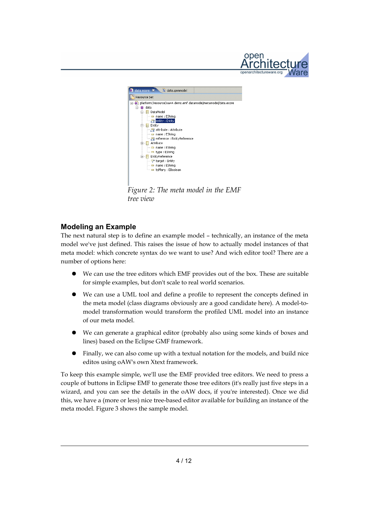



*Figure 2: The meta model in the EMF tree view*

# **Modeling an Example**

The next natural step is to define an example model – technically, an instance of the meta model we've just defined. This raises the issue of how to actually model instances of that meta model: which concrete syntax do we want to use? And wich editor tool? There are a number of options here:

- We can use the tree editors which EMF provides out of the box. These are suitable for simple examples, but don't scale to real world scenarios.
- We can use a UML tool and define a profile to represent the concepts defined in the meta model (class diagrams obviously are a good candidate here). A model-tomodel transformation would transform the profiled UML model into an instance of our meta model.
- We can generate a graphical editor (probably also using some kinds of boxes and lines) based on the Eclipse GMF framework.
- Finally, we can also come up with a textual notation for the models, and build nice editos using oAW's own Xtext framework.

To keep this example simple, we'll use the EMF provided tree editors. We need to press a couple of buttons in Eclipse EMF to generate those tree editors (it's really just five steps in a wizard, and you can see the details in the oAW docs, if you're interested). Once we did this, we have a (more or less) nice tree-based editor available for building an instance of the meta model. Figure 3 shows the sample model.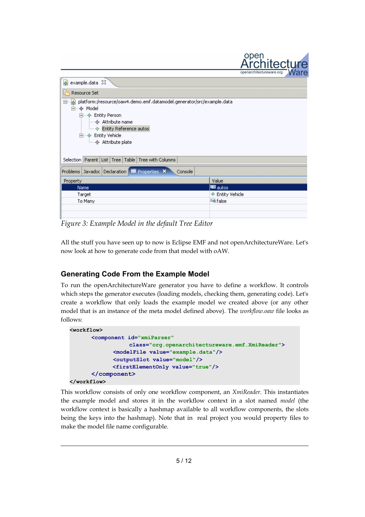

| example.data $\boxtimes$                                                                                                                                                                                        |                   |
|-----------------------------------------------------------------------------------------------------------------------------------------------------------------------------------------------------------------|-------------------|
| Resource Set                                                                                                                                                                                                    |                   |
| platform:/resource/oaw4.demo.emf.datamodel.generator/src/example.data<br>$\Box$<br>白…◆ Model<br>白… ◆ Entity Person<br>— ◆ Attribute name<br>Entity Reference autos<br>白…◆ Entity Vehicle<br>i → Attribute plate |                   |
| Selection Parent List Tree Table Tree with Columns                                                                                                                                                              |                   |
| Problems Javadoc Declaration <b>E</b> Properties X<br>Console                                                                                                                                                   |                   |
| Property                                                                                                                                                                                                        | Value             |
| <b>Name</b>                                                                                                                                                                                                     | <b>写</b> autos    |
| Target                                                                                                                                                                                                          | ♦ Entity Vehicle  |
| To Many                                                                                                                                                                                                         | <b>Like</b> False |
|                                                                                                                                                                                                                 |                   |
|                                                                                                                                                                                                                 |                   |

*Figure 3: Example Model in the default Tree Editor*

All the stuff you have seen up to now is Eclipse EMF and not openArchitectureWare. Let's now look at how to generate code from that model with oAW.

# **Generating Code From the Example Model**

To run the openArchitectureWare generator you have to define a workflow. It controls which steps the generator executes (loading models, checking them, generating code). Let's create a workflow that only loads the example model we created above (or any other model that is an instance of the meta model defined above). The *workflow.oaw* file looks as follows:

```
<workflow>
      <component id="xmiParser" 
                   class="org.openarchitectureware.emf.XmiReader">
             <modelFile value="example.data"/>
             <outputSlot value="model"/>
              <firstElementOnly value="true"/>
      </component>
</workflow>
```
This workflow consists of only one workflow component, an *XmiReader*. This instantiates the example model and stores it in the workflow context in a slot named *model* (the workflow context is basically a hashmap available to all workflow components, the slots being the keys into the hashmap). Note that in real project you would property files to make the model file name configurable.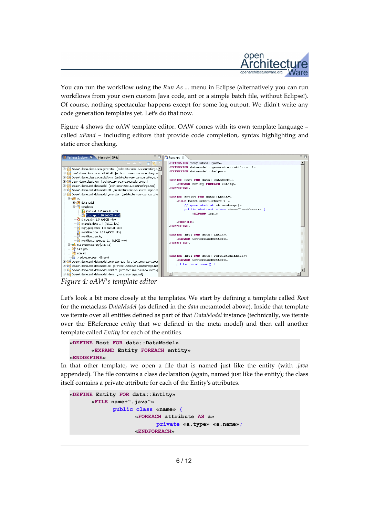

You can run the workflow using the *Run As ...* menu in Eclipse (alternatively you can run workflows from your own custom Java code, ant or a simple batch file, without Eclipse!). Of course, nothing spectacular happens except for some log output. We didn't write any code generation templates yet. Let's do that now.

Figure 4 shows the oAW template editor. OAW comes with its own template language – called *xPand* – including editors that provide code completion, syntax highlighting and static error checking.



*Figure 4: oAW's template editor*

Let's look a bit more closely at the templates. We start by defining a template called *Root* for the metaclass *DataModel* (as defined in the *data* metamodel above). Inside that template we iterate over all entities defined as part of that *DataModel* instance (technically, we iterate over the EReference *entity* that we defined in the meta model) and then call another template called *Entity* for each of the entities.

```
«DEFINE Root FOR data::DataModel»
      «EXPAND Entity FOREACH entity»
«ENDDEFINE»
```
In that other template, we open a file that is named just like the entity (with *.java* appended). The file contains a class declaration (again, named just like the entity); the class itself contains a private attribute for each of the Entity's attributes.

```
«DEFINE Entity FOR data::Entity»
      «FILE name+".java"»
             public class «name» {
                    «FOREACH attribute AS a»
                          private «a.type» «a.name»;
                    «ENDFOREACH»
```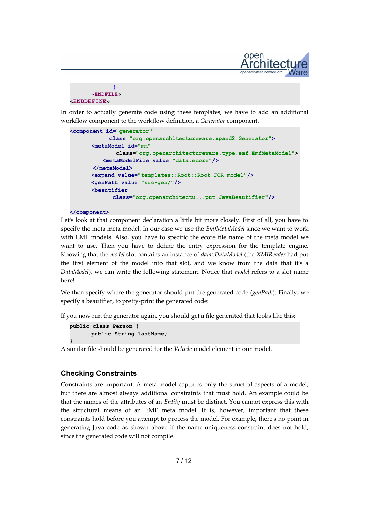

| <b>«ENDFILE»</b>            |
|-----------------------------|
| $\kappa$ ENDDEFINE $\kappa$ |

In order to actually generate code using these templates, we have to add an additional workflow component to the workflow definition, a *Generator* component.

```
<component id="generator"
             class="org.openarchitectureware.xpand2.Generator">
      <metaModel id="mm"
               class="org.openarchitectureware.type.emf.EmfMetaModel">
           <metaModelFile value="data.ecore"/>
        </metaModel>
      <expand value="templates::Root::Root FOR model"/>
      <genPath value="src-gen/"/>
      <beautifier
              class="org.openarchitectu...put.JavaBeautifier"/>
```
#### **</component>**

Let's look at that component declaration a little bit more closely. First of all, you have to specify the meta meta model. In our case we use the *EmfMetaModel* since we want to work with EMF models. Also, you have to specific the ecore file name of the meta model we want to use. Then you have to define the entry expression for the template engine. Knowing that the *model* slot contains an instance of *data::DataModel* (the *XMIReader* had put the first element of the model into that slot, and we know from the data that it's a *DataModel*), we can write the following statement. Notice that *model* refers to a slot name here!

We then specify where the generator should put the generated code (*genPath*). Finally, we specify a beautifier, to pretty-print the generated code:

If you now run the generator again, you should get a file generated that looks like this:

```
public class Person {
      public String lastName;
}
```
A similar file should be generated for the *Vehicle* model element in our model.

# **Checking Constraints**

Constraints are important. A meta model captures only the structral aspects of a model, but there are almost always additional constraints that must hold. An example could be that the names of the attributes of an *Entity* must be distinct. You cannot express this with the structural means of an EMF meta model. It is, however, important that these constraints hold before you attempt to process the model. For example, there's no point in generating Java code as shown above if the name-uniqueness constraint does not hold, since the generated code will not compile.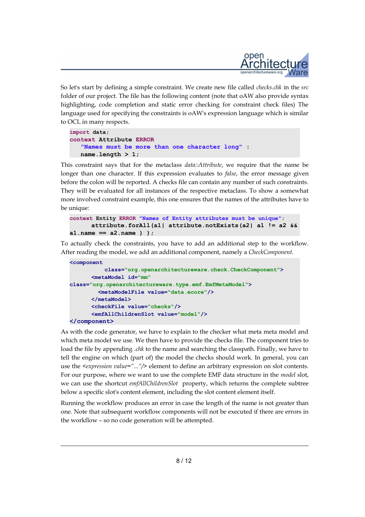

So let's start by defining a simple constraint. We create new file called *checks.chk* in the *src* folder of our project. The file has the following content (note that oAW also provide syntax highlighting, code completion and static error checking for constraint check files) The language used for specifying the constraints is oAW's expression language which is similar to OCL in many respects.

```
import data;
context Attribute ERROR
    "Names must be more than one character long" : 
    name.length > 1;
```
This constraint says that for the metaclass *data::Attribute*, we require that the name be longer than one character. If this expression evaluates to *false*, the error message given before the colon will be reported. A checks file can contain any number of such constraints. They will be evaluated for all instances of the respective metaclass. To show a somewhat more involved constraint example, this one ensures that the names of the attributes have to be unique:

```
context Entity ERROR "Names of Entity attributes must be unique":
      attribute.forAll(a1| attribute.notExists(a2| a1 != a2 &&
a1.name == a2.name ) );
```
To actually check the constraints, you have to add an additional step to the workflow. After reading the model, we add an additional component, namely a *CheckComponent*.

```
<component
           class="org.openarchitectureware.check.CheckComponent">
      <metaModel id="mm"
class="org.openarchitectureware.type.emf.EmfMetaModel">
         <metaModelFile value="data.ecore"/>
      </metaModel>
      <checkFile value="checks"/>
      <emfAllChildrenSlot value="model"/>
</component>
```
As with the code generator, we have to explain to the checker what meta meta model and which meta model we use. We then have to provide the checks file. The component tries to load the file by appending *.chk* to the name and searching the classpath. Finally, we have to tell the engine on which (part of) the model the checks should work. In general, you can use the *<expression value="..."/>* element to define an arbitrary expression on slot contents. For our purpose, where we want to use the complete EMF data structure in the *model* slot, we can use the shortcut *emfAllChildrenSlot* property, which returns the complete subtree below a specific slot's content element, including the slot content element itself.

Running the workflow produces an error in case the length of the name is not greater than one. Note that subsequent workflow components will not be executed if there are errors in the workflow – so no code generation will be attempted.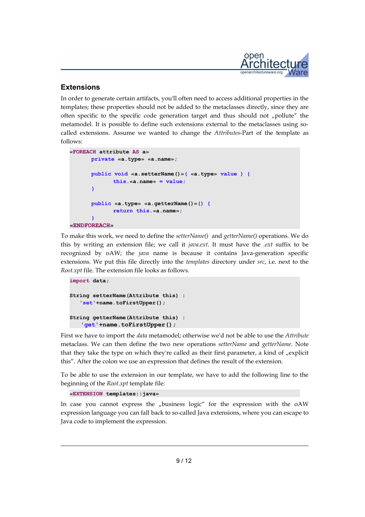

### **Extensions**

In order to generate certain artifacts, you'll often need to access additional properties in the templates; these properties should not be added to the metaclasses directly, since they are often specific to the specific code generation target and thus should not "pollute" the metamodel. It is possible to define such extensions external to the metaclasses using socalled extensions. Assume we wanted to change the *Attributes*-Part of the template as follows:

```
«FOREACH attribute AS a»
      private «a.type» «a.name»;
      public void «a.setterName()»( «a.type» value ) {
             this.«a.name» = value;
      }
      public «a.type» «a.getterName()»() {
             return this.«a.name»;
      }
«ENDFOREACH»
```
To make this work, we need to define the *setterName()* and *getterName()* operations. We do this by writing an extension file; we call it *java.ext*. It must have the *.ext* suffix to be recognized by oAW; the *java* name is because it contains Java-generation specific extensions. We put this file directly into the *templates* directory under *src*, i.e. next to the *Root.xpt* file. The extension file looks as follows.

```
import data;
String setterName(Attribute this) :
    'set'+name.toFirstUpper();
String getterName(Attribute this) :
    'get'+name.toFirstUpper();
```
First we have to import the *data* metamodel; otherwise we'd not be able to use the *Attribute* metaclass. We can then define the two new operations *setterName* and *getterName*. Note that they take the type on which they're called as their first parameter, a kind of  $n$ explicit this". After the colon we use an expression that defines the result of the extension.

To be able to use the extension in our template, we have to add the following line to the beginning of the *Root.xpt* template file:

```
«EXTENSION templates::java»
```
In case you cannot express the "business logic" for the expression with the oAW expression language you can fall back to so-called Java extensions, where you can escape to Java code to implement the expression.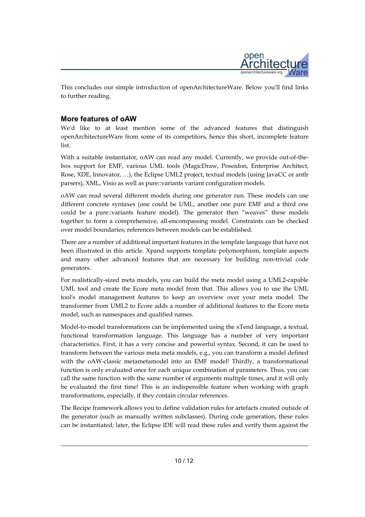

This concludes our simple introduction of openArchitectureWare. Below you'll find links to further reading.

# **More features of oAW**

We'd like to at least mention some of the advanced features that distinguish openArchitectureWare from some of its competitors, hence this short, incomplete feature list.

With a suitable instantiator, oAW can read any model. Currently, we provide out-of-thebox support for EMF, various UML tools (MagicDraw, Poseidon, Enterprise Architect, Rose, XDE, Innovator, …), the Eclipse UML2 project, textual models (using JavaCC or antlr parsers), XML, Visio as well as pure::variants variant configuration models.

oAW can read several different models during one generator run. These models can use different concrete syntaxes (one could be UML, another one pure EMF and a third one could be a pure::variants feature model). The generator then "weaves" these models together to form a comprehensive, all-encompassing model. Constraints can be checked over model boundaries; references between models can be established.

There are a number of additional important features in the template language that have not been illustrated in this article. Xpand supports template polymorphism, template aspects and many other advanced features that are necessary for building non-trivial code generators.

For realistically-sized meta models, you can build the meta model using a UML2-capable UML tool and create the Ecore meta model from that. This allows you to use the UML tool's model management features to keep an overview over your meta model. The transformer from UML2 to Ecore adds a number of additional features to the Ecore meta model, such as namespaces and qualified names.

Model-to-model transformations can be implemented using the xTend language, a textual, functional transformation language. This language has a number of very important characteristics. First, it has a very concise and powerful syntax. Second, it can be used to transform between the various meta meta models, e.g., you can transform a model defined with the oAW-classic metametamodel into an EMF model! Thirdly, a transformational function is only evaluated once for each unique combination of parameters. Thus, you can call the same function with the same number of arguments multiple times, and it will only be evaluated the first time! This is an indispensible feature when working with graph transformations, especially, if they contain circular references.

The Recipe framework allows you to define validation rules for artefacts created outside of the generator (such as manually written subclasses). During code generation, these rules can be instantiated; later, the Eclipse IDE will read these rules and verify them against the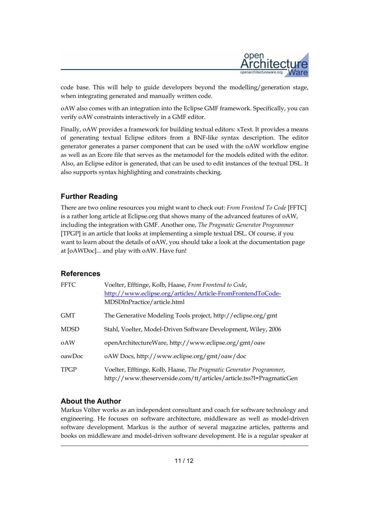

code base. This will help to guide developers beyond the modelling/generation stage, when integrating generated and manually written code.

oAW also comes with an integration into the Eclipse GMF framework. Specifically, you can verify oAW constraints interactively in a GMF editor.

Finally, oAW provides a framework for building textual editors: xText. It provides a means of generating textual Eclipse editors from a BNF-like syntax description. The editor generator generates a parser component that can be used with the oAW workflow engine as well as an Ecore file that serves as the metamodel for the models edited with the editor. Also, an Eclipse editor is generated, that can be used to edit instances of the textual DSL. It also supports syntax highlighting and constraints checking.

# **Further Reading**

There are two online resources you might want to check out: *From Frontend To Code* [FFTC] is a rather long article at Eclipse.org that shows many of the advanced features of oAW, including the integration with GMF. Another one, *The Pragmatic Generator Programmer* [TPGP] is an article that looks at implementing a simple textual DSL. Of course, if you want to learn about the details of oAW, you should take a look at the documentation page at [oAWDoc]... and play with oAW. Have fun!

#### **References**

| <b>FFTC</b> | Voelter, Efftinge, Kolb, Haase, From Frontend to Code,<br>http://www.eclipse.org/articles/Article-FromFrontendToCode-<br>MDSDInPractice/article.html |
|-------------|------------------------------------------------------------------------------------------------------------------------------------------------------|
| <b>GMT</b>  | The Generative Modeling Tools project, http://eclipse.org/gmt                                                                                        |
| <b>MDSD</b> | Stahl, Voelter, Model-Driven Software Development, Wiley, 2006                                                                                       |
| oAW         | openArchitectureWare, http://www.eclipse.org/gmt/oaw                                                                                                 |
| oawDoc      | oAW Docs, http://www.eclipse.org/gmt/oaw/doc                                                                                                         |
| <b>TPGP</b> | Voelter, Efftinge, Kolb, Haase, The Pragmatic Generator Programmer,<br>http://www.theserverside.com/tt/articles/article.tss?l=PragmaticGen           |

# **About the Author**

Markus Völter works as an independent consultant and coach for software technology and engineering. He focuses on software architecture, middleware as well as model-driven software development. Markus is the author of several magazine articles, patterns and books on middleware and model-driven software development. He is a regular speaker at